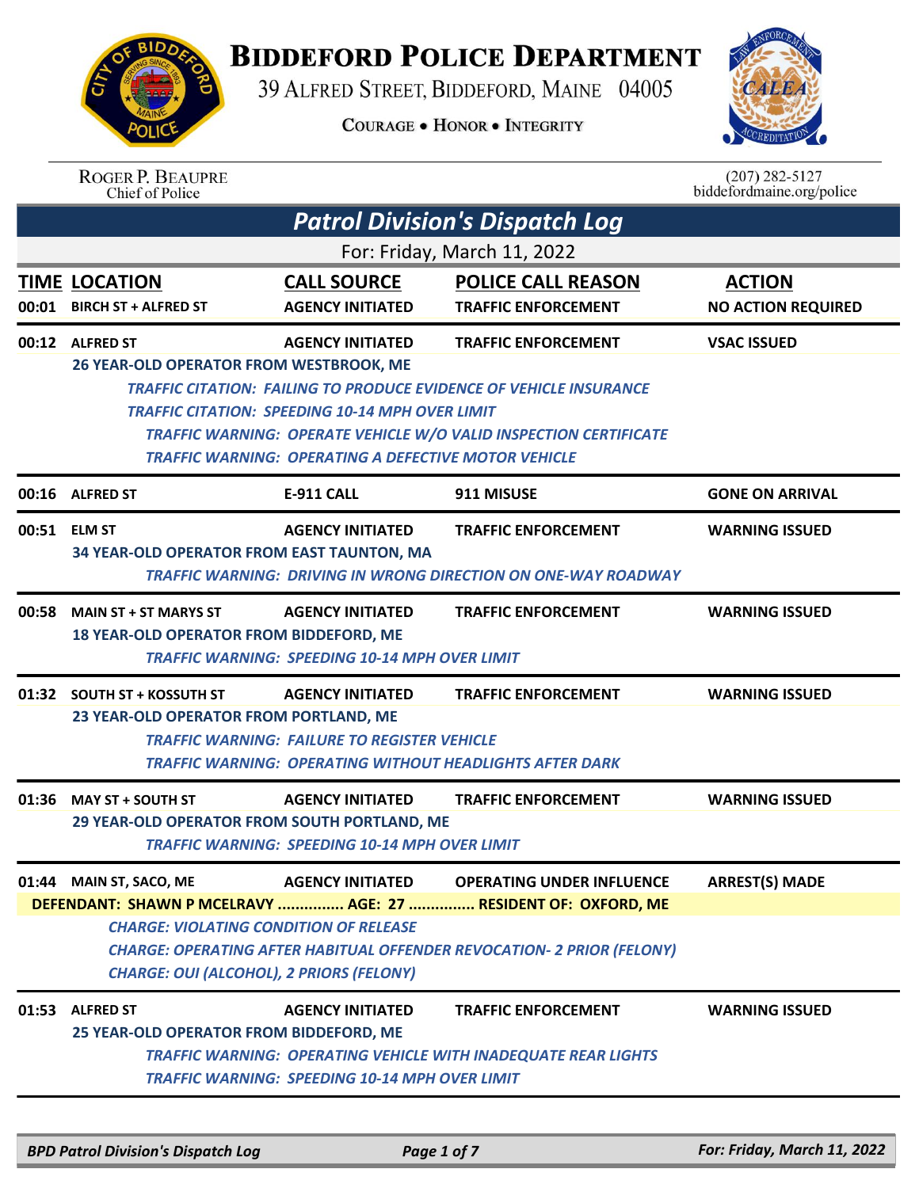

## **BIDDEFORD POLICE DEPARTMENT**

39 ALFRED STREET, BIDDEFORD, MAINE 04005

**COURAGE . HONOR . INTEGRITY** 



| <b>ROGER P. BEAUPRE</b> |
|-------------------------|
| Chief of Police         |

 $(207)$  282-5127 biddefordmaine.org/police

|       |                                                                                                  |                                                                                                                       | <b>Patrol Division's Dispatch Log</b>                                                                                                                 |                                            |
|-------|--------------------------------------------------------------------------------------------------|-----------------------------------------------------------------------------------------------------------------------|-------------------------------------------------------------------------------------------------------------------------------------------------------|--------------------------------------------|
|       |                                                                                                  |                                                                                                                       | For: Friday, March 11, 2022                                                                                                                           |                                            |
|       | <b>TIME LOCATION</b><br>00:01 BIRCH ST + ALFRED ST                                               | <b>CALL SOURCE</b><br><b>AGENCY INITIATED</b>                                                                         | <b>POLICE CALL REASON</b><br><b>TRAFFIC ENFORCEMENT</b>                                                                                               | <b>ACTION</b><br><b>NO ACTION REQUIRED</b> |
|       | 00:12 ALFRED ST                                                                                  | <b>AGENCY INITIATED</b>                                                                                               | <b>TRAFFIC ENFORCEMENT</b>                                                                                                                            | <b>VSAC ISSUED</b>                         |
|       | 26 YEAR-OLD OPERATOR FROM WESTBROOK, ME                                                          | <b>TRAFFIC CITATION: SPEEDING 10-14 MPH OVER LIMIT</b><br><b>TRAFFIC WARNING: OPERATING A DEFECTIVE MOTOR VEHICLE</b> | <b>TRAFFIC CITATION: FAILING TO PRODUCE EVIDENCE OF VEHICLE INSURANCE</b><br><b>TRAFFIC WARNING: OPERATE VEHICLE W/O VALID INSPECTION CERTIFICATE</b> |                                            |
|       | 00:16 ALFRED ST                                                                                  | <b>E-911 CALL</b>                                                                                                     | 911 MISUSE                                                                                                                                            | <b>GONE ON ARRIVAL</b>                     |
|       | 00:51 ELM ST<br>34 YEAR-OLD OPERATOR FROM EAST TAUNTON, MA                                       | <b>AGENCY INITIATED</b>                                                                                               | <b>TRAFFIC ENFORCEMENT</b>                                                                                                                            | <b>WARNING ISSUED</b>                      |
|       |                                                                                                  |                                                                                                                       | <b>TRAFFIC WARNING: DRIVING IN WRONG DIRECTION ON ONE-WAY ROADWAY</b>                                                                                 |                                            |
| 00:58 | <b>MAIN ST + ST MARYS ST</b><br>18 YEAR-OLD OPERATOR FROM BIDDEFORD, ME                          | <b>AGENCY INITIATED</b><br><b>TRAFFIC WARNING: SPEEDING 10-14 MPH OVER LIMIT</b>                                      | <b>TRAFFIC ENFORCEMENT</b>                                                                                                                            | <b>WARNING ISSUED</b>                      |
|       | 01:32 SOUTH ST + KOSSUTH ST<br>23 YEAR-OLD OPERATOR FROM PORTLAND, ME                            | <b>AGENCY INITIATED</b><br><b>TRAFFIC WARNING: FAILURE TO REGISTER VEHICLE</b>                                        | <b>TRAFFIC ENFORCEMENT</b><br><b>TRAFFIC WARNING: OPERATING WITHOUT HEADLIGHTS AFTER DARK</b>                                                         | <b>WARNING ISSUED</b>                      |
|       | 01:36 MAY ST + SOUTH ST<br>29 YEAR-OLD OPERATOR FROM SOUTH PORTLAND, ME                          | <b>AGENCY INITIATED</b><br><b>TRAFFIC WARNING: SPEEDING 10-14 MPH OVER LIMIT</b>                                      | <b>TRAFFIC ENFORCEMENT</b>                                                                                                                            | <b>WARNING ISSUED</b>                      |
|       | 01:44 MAIN ST, SACO, ME                                                                          | <b>AGENCY INITIATED</b>                                                                                               | <b>OPERATING UNDER INFLUENCE</b>                                                                                                                      | <b>ARREST(S) MADE</b>                      |
|       |                                                                                                  |                                                                                                                       | DEFENDANT: SHAWN P MCELRAVY  AGE: 27  RESIDENT OF: OXFORD, ME                                                                                         |                                            |
|       | <b>CHARGE: VIOLATING CONDITION OF RELEASE</b><br><b>CHARGE: OUI (ALCOHOL), 2 PRIORS (FELONY)</b> |                                                                                                                       | <b>CHARGE: OPERATING AFTER HABITUAL OFFENDER REVOCATION- 2 PRIOR (FELONY)</b>                                                                         |                                            |
| 01:53 | <b>ALFRED ST</b>                                                                                 | <b>AGENCY INITIATED</b>                                                                                               | <b>TRAFFIC ENFORCEMENT</b>                                                                                                                            | <b>WARNING ISSUED</b>                      |
|       | 25 YEAR-OLD OPERATOR FROM BIDDEFORD, ME                                                          | <b>TRAFFIC WARNING: SPEEDING 10-14 MPH OVER LIMIT</b>                                                                 | <b>TRAFFIC WARNING: OPERATING VEHICLE WITH INADEQUATE REAR LIGHTS</b>                                                                                 |                                            |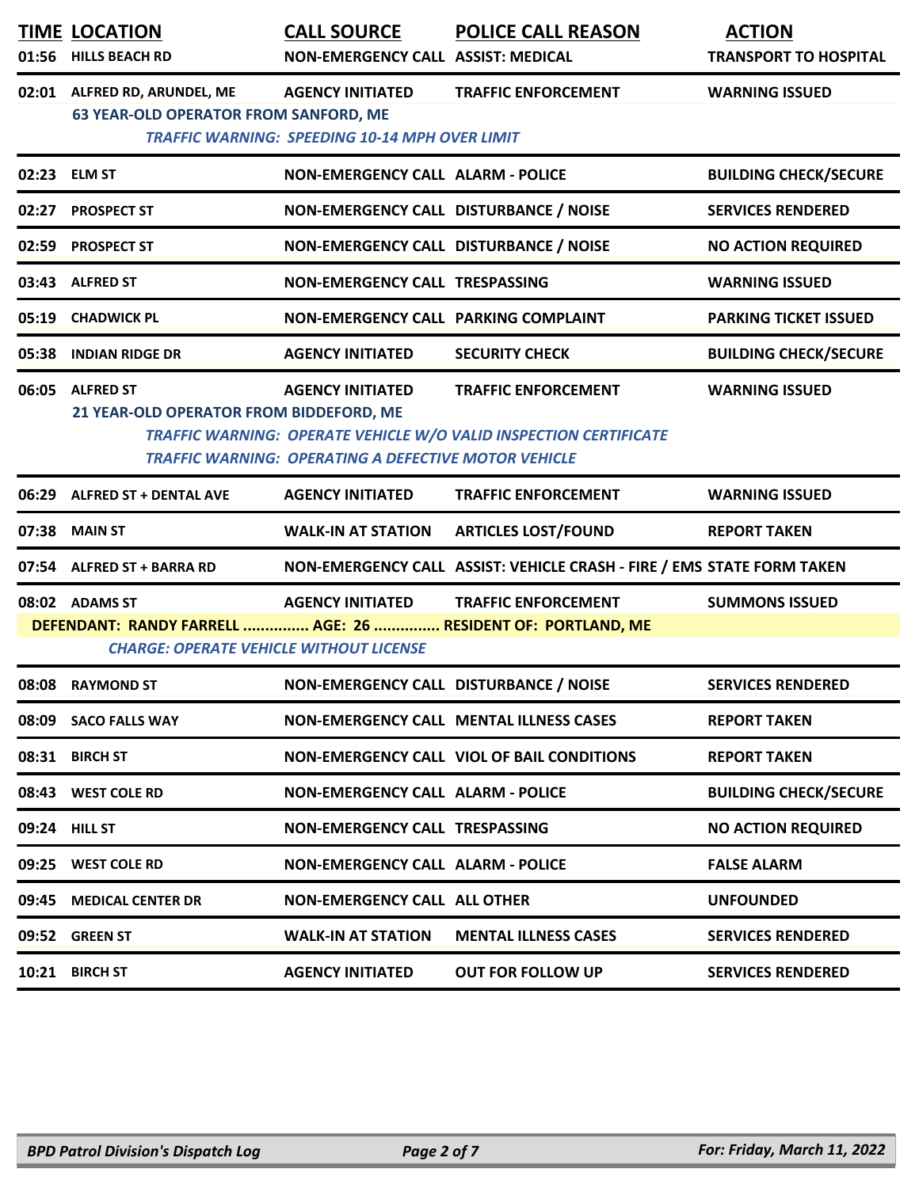| 01:56         | <b>TIME LOCATION</b><br><b>HILLS BEACH RD</b>                                                                                    | <b>CALL SOURCE</b><br>NON-EMERGENCY CALL ASSIST: MEDICAL                               | <b>POLICE CALL REASON</b>                                                                       | <b>ACTION</b><br><b>TRANSPORT TO HOSPITAL</b> |
|---------------|----------------------------------------------------------------------------------------------------------------------------------|----------------------------------------------------------------------------------------|-------------------------------------------------------------------------------------------------|-----------------------------------------------|
|               | 02:01 ALFRED RD, ARUNDEL, ME<br><b>63 YEAR-OLD OPERATOR FROM SANFORD, ME</b>                                                     | <b>AGENCY INITIATED</b><br><b>TRAFFIC WARNING: SPEEDING 10-14 MPH OVER LIMIT</b>       | <b>TRAFFIC ENFORCEMENT</b>                                                                      | <b>WARNING ISSUED</b>                         |
| 02:23 ELM ST  |                                                                                                                                  | <b>NON-EMERGENCY CALL ALARM - POLICE</b>                                               |                                                                                                 | <b>BUILDING CHECK/SECURE</b>                  |
|               | 02:27 PROSPECT ST                                                                                                                | NON-EMERGENCY CALL DISTURBANCE / NOISE                                                 |                                                                                                 | <b>SERVICES RENDERED</b>                      |
|               | 02:59 PROSPECT ST                                                                                                                | NON-EMERGENCY CALL DISTURBANCE / NOISE                                                 |                                                                                                 | <b>NO ACTION REQUIRED</b>                     |
|               | 03:43 ALFRED ST                                                                                                                  | NON-EMERGENCY CALL TRESPASSING                                                         |                                                                                                 | <b>WARNING ISSUED</b>                         |
|               | 05:19 CHADWICK PL                                                                                                                | NON-EMERGENCY CALL PARKING COMPLAINT                                                   |                                                                                                 | <b>PARKING TICKET ISSUED</b>                  |
|               | 05:38 INDIAN RIDGE DR                                                                                                            | <b>AGENCY INITIATED</b>                                                                | <b>SECURITY CHECK</b>                                                                           | <b>BUILDING CHECK/SECURE</b>                  |
|               | 06:05 ALFRED ST<br>21 YEAR-OLD OPERATOR FROM BIDDEFORD, ME                                                                       | <b>AGENCY INITIATED</b><br><b>TRAFFIC WARNING: OPERATING A DEFECTIVE MOTOR VEHICLE</b> | <b>TRAFFIC ENFORCEMENT</b><br>TRAFFIC WARNING: OPERATE VEHICLE W/O VALID INSPECTION CERTIFICATE | <b>WARNING ISSUED</b>                         |
| 06:29         | <b>ALFRED ST + DENTAL AVE</b>                                                                                                    | <b>AGENCY INITIATED</b>                                                                | <b>TRAFFIC ENFORCEMENT</b>                                                                      | <b>WARNING ISSUED</b>                         |
|               | 07:38 MAIN ST                                                                                                                    | <b>WALK-IN AT STATION</b>                                                              | <b>ARTICLES LOST/FOUND</b>                                                                      | <b>REPORT TAKEN</b>                           |
|               | 07:54 ALFRED ST + BARRA RD                                                                                                       |                                                                                        | NON-EMERGENCY CALL ASSIST: VEHICLE CRASH - FIRE / EMS STATE FORM TAKEN                          |                                               |
|               | 08:02 ADAMS ST<br>DEFENDANT: RANDY FARRELL  AGE: 26  RESIDENT OF: PORTLAND, ME<br><b>CHARGE: OPERATE VEHICLE WITHOUT LICENSE</b> | <b>AGENCY INITIATED</b>                                                                | <b>TRAFFIC ENFORCEMENT</b>                                                                      | <b>SUMMONS ISSUED</b>                         |
|               | 08:08 RAYMOND ST                                                                                                                 | NON-EMERGENCY CALL DISTURBANCE / NOISE                                                 |                                                                                                 | <b>SERVICES RENDERED</b>                      |
|               | 08:09 SACO FALLS WAY                                                                                                             |                                                                                        | <b>NON-EMERGENCY CALL MENTAL ILLNESS CASES</b>                                                  | <b>REPORT TAKEN</b>                           |
|               | 08:31 BIRCH ST                                                                                                                   |                                                                                        | NON-EMERGENCY CALL VIOL OF BAIL CONDITIONS                                                      | <b>REPORT TAKEN</b>                           |
|               | 08:43 WEST COLE RD                                                                                                               | <b>NON-EMERGENCY CALL ALARM - POLICE</b>                                               |                                                                                                 | <b>BUILDING CHECK/SECURE</b>                  |
| 09:24 HILL ST |                                                                                                                                  | <b>NON-EMERGENCY CALL TRESPASSING</b>                                                  |                                                                                                 | <b>NO ACTION REQUIRED</b>                     |
|               | 09:25 WEST COLE RD                                                                                                               | <b>NON-EMERGENCY CALL ALARM - POLICE</b>                                               |                                                                                                 | <b>FALSE ALARM</b>                            |
|               | 09:45 MEDICAL CENTER DR                                                                                                          | <b>NON-EMERGENCY CALL ALL OTHER</b>                                                    |                                                                                                 | <b>UNFOUNDED</b>                              |
|               | 09:52 GREEN ST                                                                                                                   | <b>WALK-IN AT STATION</b>                                                              | <b>MENTAL ILLNESS CASES</b>                                                                     | <b>SERVICES RENDERED</b>                      |
|               | 10:21 BIRCH ST                                                                                                                   | <b>AGENCY INITIATED</b>                                                                | <b>OUT FOR FOLLOW UP</b>                                                                        | <b>SERVICES RENDERED</b>                      |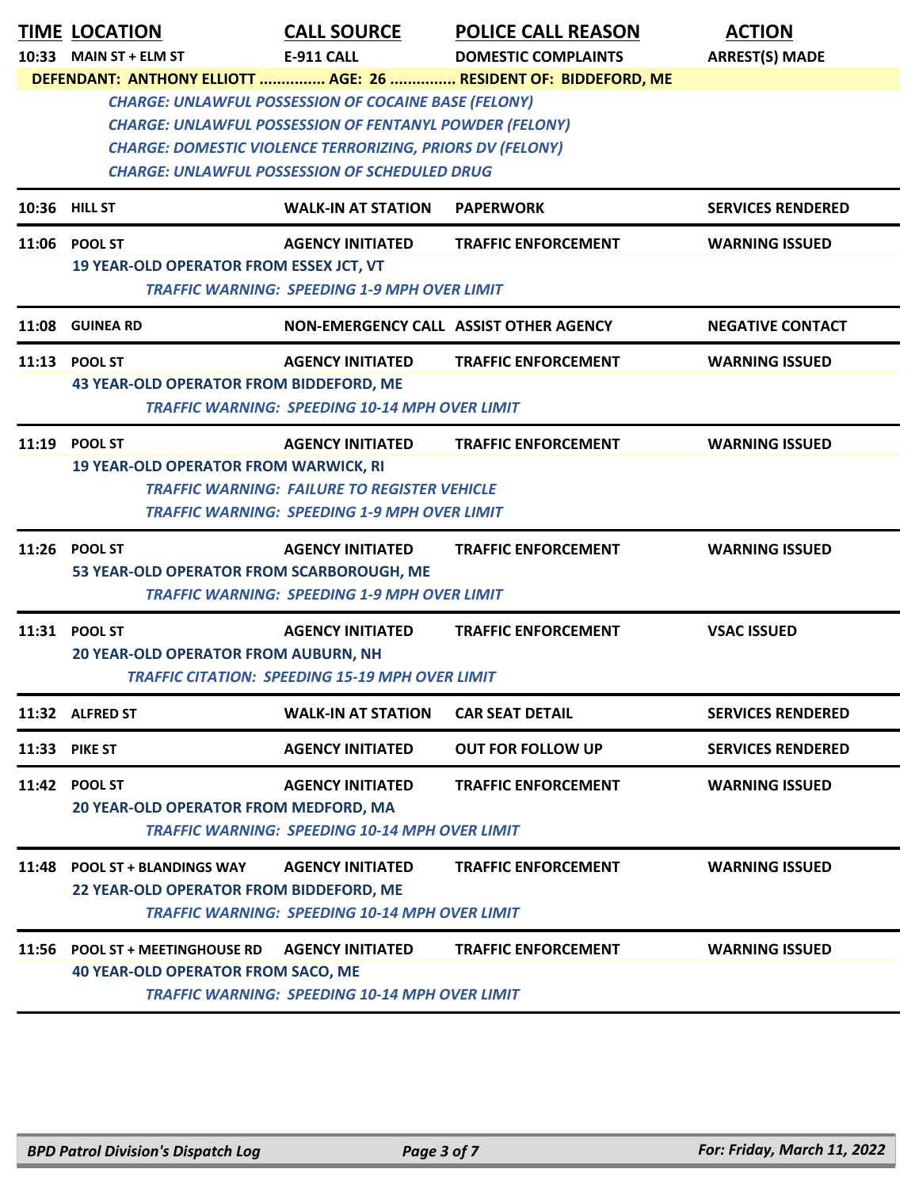|       | <b>TIME LOCATION</b><br>10:33 MAIN ST + ELM ST                                | <b>CALL SOURCE</b><br>E-911 CALL                                                                                                                                                                                                                          | <b>POLICE CALL REASON</b><br><b>DOMESTIC COMPLAINTS</b>         | <b>ACTION</b><br><b>ARREST(S) MADE</b> |
|-------|-------------------------------------------------------------------------------|-----------------------------------------------------------------------------------------------------------------------------------------------------------------------------------------------------------------------------------------------------------|-----------------------------------------------------------------|----------------------------------------|
|       |                                                                               |                                                                                                                                                                                                                                                           | DEFENDANT: ANTHONY ELLIOTT  AGE: 26  RESIDENT OF: BIDDEFORD, ME |                                        |
|       |                                                                               | <b>CHARGE: UNLAWFUL POSSESSION OF COCAINE BASE (FELONY)</b><br><b>CHARGE: UNLAWFUL POSSESSION OF FENTANYL POWDER (FELONY)</b><br><b>CHARGE: DOMESTIC VIOLENCE TERRORIZING, PRIORS DV (FELONY)</b><br><b>CHARGE: UNLAWFUL POSSESSION OF SCHEDULED DRUG</b> |                                                                 |                                        |
|       | 10:36 HILL ST                                                                 | <b>WALK-IN AT STATION</b>                                                                                                                                                                                                                                 | <b>PAPERWORK</b>                                                | <b>SERVICES RENDERED</b>               |
|       | 11:06 POOL ST<br>19 YEAR-OLD OPERATOR FROM ESSEX JCT, VT                      | <b>AGENCY INITIATED</b><br><b>TRAFFIC WARNING: SPEEDING 1-9 MPH OVER LIMIT</b>                                                                                                                                                                            | <b>TRAFFIC ENFORCEMENT</b>                                      | <b>WARNING ISSUED</b>                  |
| 11:08 | <b>GUINEA RD</b>                                                              | NON-EMERGENCY CALL ASSIST OTHER AGENCY                                                                                                                                                                                                                    |                                                                 | <b>NEGATIVE CONTACT</b>                |
| 11:13 | <b>POOL ST</b>                                                                | <b>AGENCY INITIATED</b>                                                                                                                                                                                                                                   | <b>TRAFFIC ENFORCEMENT</b>                                      | <b>WARNING ISSUED</b>                  |
|       | 43 YEAR-OLD OPERATOR FROM BIDDEFORD, ME                                       | <b>TRAFFIC WARNING: SPEEDING 10-14 MPH OVER LIMIT</b>                                                                                                                                                                                                     |                                                                 |                                        |
|       | 11:19 POOL ST                                                                 | <b>AGENCY INITIATED</b>                                                                                                                                                                                                                                   | <b>TRAFFIC ENFORCEMENT</b>                                      | <b>WARNING ISSUED</b>                  |
|       | <b>19 YEAR-OLD OPERATOR FROM WARWICK, RI</b>                                  | <b>TRAFFIC WARNING: FAILURE TO REGISTER VEHICLE</b><br><b>TRAFFIC WARNING: SPEEDING 1-9 MPH OVER LIMIT</b>                                                                                                                                                |                                                                 |                                        |
|       | 11:26 POOL ST<br>53 YEAR-OLD OPERATOR FROM SCARBOROUGH, ME                    | <b>AGENCY INITIATED</b><br><b>TRAFFIC WARNING: SPEEDING 1-9 MPH OVER LIMIT</b>                                                                                                                                                                            | <b>TRAFFIC ENFORCEMENT</b>                                      | <b>WARNING ISSUED</b>                  |
| 11:31 | <b>POOL ST</b><br>20 YEAR-OLD OPERATOR FROM AUBURN, NH                        | <b>AGENCY INITIATED</b><br><b>TRAFFIC CITATION: SPEEDING 15-19 MPH OVER LIMIT</b>                                                                                                                                                                         | <b>TRAFFIC ENFORCEMENT</b>                                      | <b>VSAC ISSUED</b>                     |
|       | 11:32 ALFRED ST                                                               | <b>WALK-IN AT STATION</b>                                                                                                                                                                                                                                 | <b>CAR SEAT DETAIL</b>                                          | <b>SERVICES RENDERED</b>               |
| 11:33 | <b>PIKE ST</b>                                                                | <b>AGENCY INITIATED</b>                                                                                                                                                                                                                                   | <b>OUT FOR FOLLOW UP</b>                                        | <b>SERVICES RENDERED</b>               |
| 11:42 | <b>POOL ST</b><br>20 YEAR-OLD OPERATOR FROM MEDFORD, MA                       | <b>AGENCY INITIATED</b><br><b>TRAFFIC WARNING: SPEEDING 10-14 MPH OVER LIMIT</b>                                                                                                                                                                          | <b>TRAFFIC ENFORCEMENT</b>                                      | <b>WARNING ISSUED</b>                  |
| 11:48 | <b>POOL ST + BLANDINGS WAY</b><br>22 YEAR-OLD OPERATOR FROM BIDDEFORD, ME     | <b>AGENCY INITIATED</b><br><b>TRAFFIC WARNING: SPEEDING 10-14 MPH OVER LIMIT</b>                                                                                                                                                                          | <b>TRAFFIC ENFORCEMENT</b>                                      | <b>WARNING ISSUED</b>                  |
| 11:56 | <b>POOL ST + MEETINGHOUSE RD</b><br><b>40 YEAR-OLD OPERATOR FROM SACO, ME</b> | <b>AGENCY INITIATED</b><br><b>TRAFFIC WARNING: SPEEDING 10-14 MPH OVER LIMIT</b>                                                                                                                                                                          | <b>TRAFFIC ENFORCEMENT</b>                                      | <b>WARNING ISSUED</b>                  |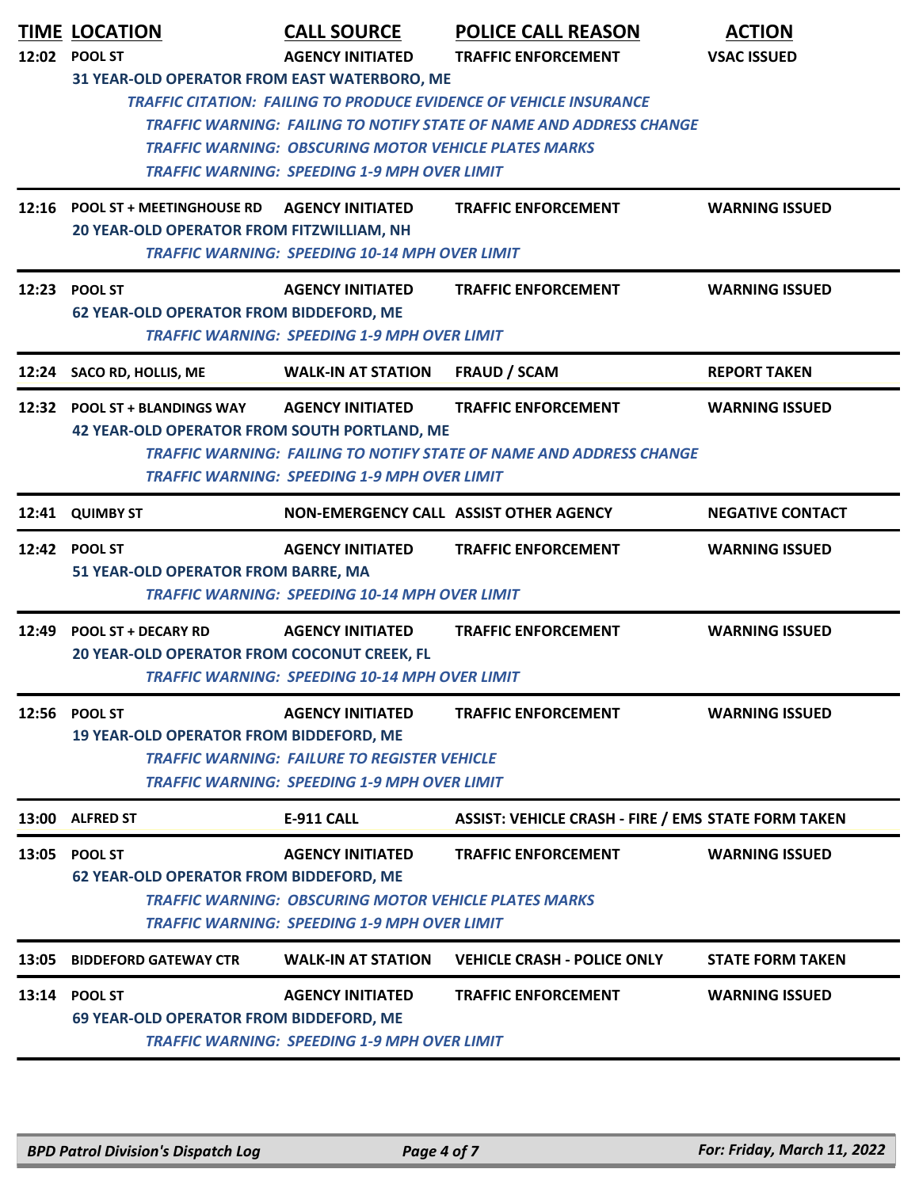|       | <b>TIME LOCATION</b>                                                                 | <b>CALL SOURCE</b>                                                                                                                             | <b>POLICE CALL REASON</b>                                                                                                                        | <b>ACTION</b>           |
|-------|--------------------------------------------------------------------------------------|------------------------------------------------------------------------------------------------------------------------------------------------|--------------------------------------------------------------------------------------------------------------------------------------------------|-------------------------|
|       | 12:02 POOL ST                                                                        | <b>AGENCY INITIATED</b>                                                                                                                        | <b>TRAFFIC ENFORCEMENT</b>                                                                                                                       | <b>VSAC ISSUED</b>      |
|       | 31 YEAR-OLD OPERATOR FROM EAST WATERBORO, ME                                         | <b>TRAFFIC WARNING: OBSCURING MOTOR VEHICLE PLATES MARKS</b><br><b>TRAFFIC WARNING: SPEEDING 1-9 MPH OVER LIMIT</b>                            | <b>TRAFFIC CITATION: FAILING TO PRODUCE EVIDENCE OF VEHICLE INSURANCE</b><br>TRAFFIC WARNING: FAILING TO NOTIFY STATE OF NAME AND ADDRESS CHANGE |                         |
|       | 12:16 POOL ST + MEETINGHOUSE RD<br>20 YEAR-OLD OPERATOR FROM FITZWILLIAM, NH         | <b>AGENCY INITIATED</b><br><b>TRAFFIC WARNING: SPEEDING 10-14 MPH OVER LIMIT</b>                                                               | <b>TRAFFIC ENFORCEMENT</b>                                                                                                                       | <b>WARNING ISSUED</b>   |
|       | 12:23 POOL ST<br><b>62 YEAR-OLD OPERATOR FROM BIDDEFORD, ME</b>                      | <b>AGENCY INITIATED</b><br><b>TRAFFIC WARNING: SPEEDING 1-9 MPH OVER LIMIT</b>                                                                 | <b>TRAFFIC ENFORCEMENT</b>                                                                                                                       | <b>WARNING ISSUED</b>   |
| 12:24 | SACO RD, HOLLIS, ME                                                                  | <b>WALK-IN AT STATION</b>                                                                                                                      | <b>FRAUD / SCAM</b>                                                                                                                              | <b>REPORT TAKEN</b>     |
|       | 12:32 POOL ST + BLANDINGS WAY<br><b>42 YEAR-OLD OPERATOR FROM SOUTH PORTLAND, ME</b> | <b>AGENCY INITIATED</b><br><b>TRAFFIC WARNING: SPEEDING 1-9 MPH OVER LIMIT</b>                                                                 | <b>TRAFFIC ENFORCEMENT</b><br>TRAFFIC WARNING: FAILING TO NOTIFY STATE OF NAME AND ADDRESS CHANGE                                                | <b>WARNING ISSUED</b>   |
| 12:41 | <b>QUIMBY ST</b>                                                                     | NON-EMERGENCY CALL ASSIST OTHER AGENCY                                                                                                         |                                                                                                                                                  | <b>NEGATIVE CONTACT</b> |
|       | 12:42 POOL ST<br>51 YEAR-OLD OPERATOR FROM BARRE, MA                                 | <b>AGENCY INITIATED</b><br>TRAFFIC WARNING: SPEEDING 10-14 MPH OVER LIMIT                                                                      | <b>TRAFFIC ENFORCEMENT</b>                                                                                                                       | <b>WARNING ISSUED</b>   |
| 12:49 | <b>POOL ST + DECARY RD</b><br>20 YEAR-OLD OPERATOR FROM COCONUT CREEK, FL            | <b>AGENCY INITIATED</b><br><b>TRAFFIC WARNING: SPEEDING 10-14 MPH OVER LIMIT</b>                                                               | <b>TRAFFIC ENFORCEMENT</b>                                                                                                                       | <b>WARNING ISSUED</b>   |
|       | 12:56 POOL ST<br>19 YEAR-OLD OPERATOR FROM BIDDEFORD, ME                             | <b>AGENCY INITIATED</b><br><b>TRAFFIC WARNING: FAILURE TO REGISTER VEHICLE</b><br><b>TRAFFIC WARNING: SPEEDING 1-9 MPH OVER LIMIT</b>          | <b>TRAFFIC ENFORCEMENT</b>                                                                                                                       | <b>WARNING ISSUED</b>   |
|       | 13:00 ALFRED ST                                                                      | E-911 CALL                                                                                                                                     | <b>ASSIST: VEHICLE CRASH - FIRE / EMS STATE FORM TAKEN</b>                                                                                       |                         |
|       | 13:05 POOL ST<br><b>62 YEAR-OLD OPERATOR FROM BIDDEFORD, ME</b>                      | <b>AGENCY INITIATED</b><br><b>TRAFFIC WARNING: OBSCURING MOTOR VEHICLE PLATES MARKS</b><br><b>TRAFFIC WARNING: SPEEDING 1-9 MPH OVER LIMIT</b> | <b>TRAFFIC ENFORCEMENT</b>                                                                                                                       | <b>WARNING ISSUED</b>   |
| 13:05 | <b>BIDDEFORD GATEWAY CTR</b>                                                         | <b>WALK-IN AT STATION</b>                                                                                                                      | <b>VEHICLE CRASH - POLICE ONLY</b>                                                                                                               | <b>STATE FORM TAKEN</b> |
|       | 13:14 POOL ST<br>69 YEAR-OLD OPERATOR FROM BIDDEFORD, ME                             | <b>AGENCY INITIATED</b><br><b>TRAFFIC WARNING: SPEEDING 1-9 MPH OVER LIMIT</b>                                                                 | <b>TRAFFIC ENFORCEMENT</b>                                                                                                                       | <b>WARNING ISSUED</b>   |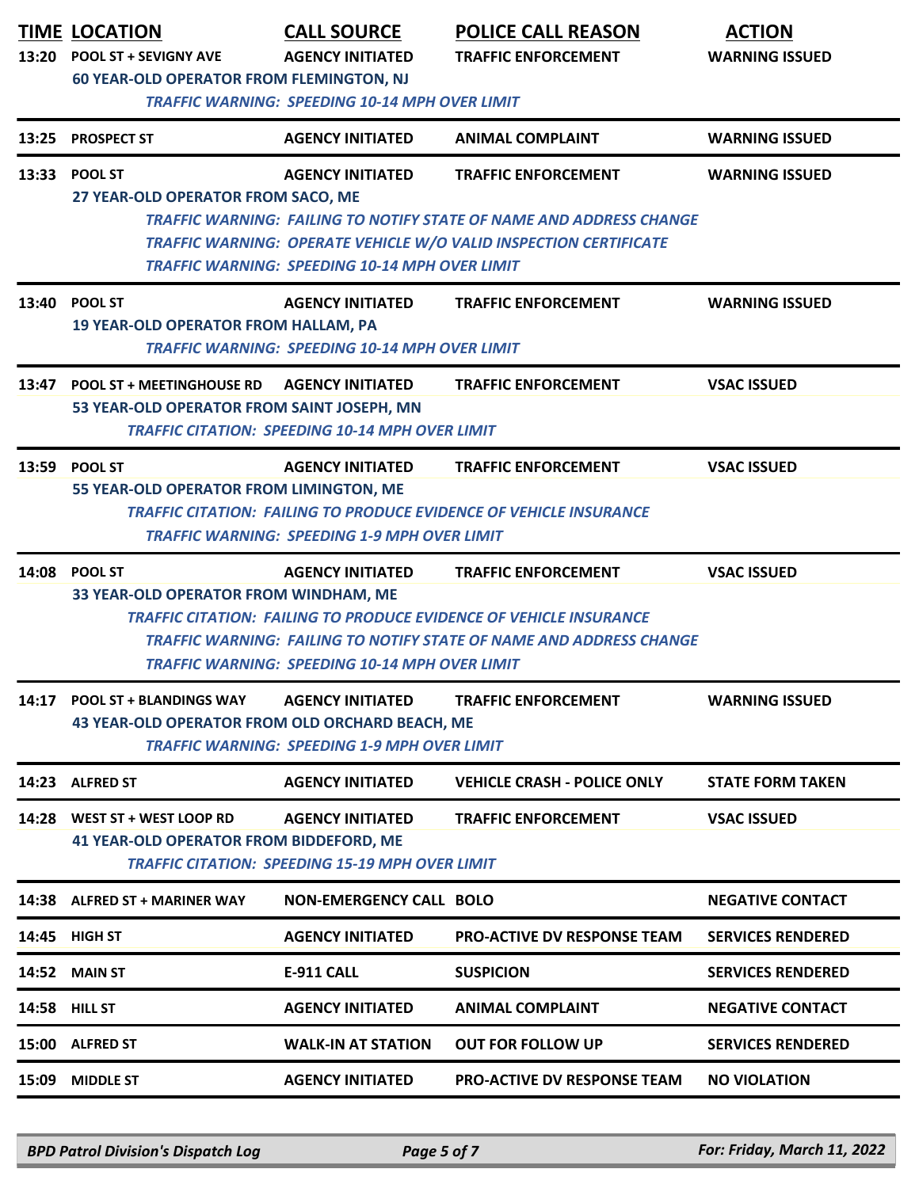|       | <b>TIME LOCATION</b><br>13:20 POOL ST + SEVIGNY AVE<br><b>60 YEAR-OLD OPERATOR FROM FLEMINGTON, NJ</b> | <b>CALL SOURCE</b><br><b>AGENCY INITIATED</b>                                     | <b>POLICE CALL REASON</b><br><b>TRAFFIC ENFORCEMENT</b>                                                                                                                               | <b>ACTION</b><br><b>WARNING ISSUED</b> |
|-------|--------------------------------------------------------------------------------------------------------|-----------------------------------------------------------------------------------|---------------------------------------------------------------------------------------------------------------------------------------------------------------------------------------|----------------------------------------|
| 13:25 | <b>PROSPECT ST</b>                                                                                     | <b>TRAFFIC WARNING: SPEEDING 10-14 MPH OVER LIMIT</b><br><b>AGENCY INITIATED</b>  | <b>ANIMAL COMPLAINT</b>                                                                                                                                                               | <b>WARNING ISSUED</b>                  |
|       | 13:33 POOL ST<br>27 YEAR-OLD OPERATOR FROM SACO, ME                                                    | <b>AGENCY INITIATED</b><br><b>TRAFFIC WARNING: SPEEDING 10-14 MPH OVER LIMIT</b>  | <b>TRAFFIC ENFORCEMENT</b><br><b>TRAFFIC WARNING: FAILING TO NOTIFY STATE OF NAME AND ADDRESS CHANGE</b><br>TRAFFIC WARNING: OPERATE VEHICLE W/O VALID INSPECTION CERTIFICATE         | <b>WARNING ISSUED</b>                  |
| 13:40 | <b>POOL ST</b><br><b>19 YEAR-OLD OPERATOR FROM HALLAM, PA</b>                                          | <b>AGENCY INITIATED</b><br><b>TRAFFIC WARNING: SPEEDING 10-14 MPH OVER LIMIT</b>  | <b>TRAFFIC ENFORCEMENT</b>                                                                                                                                                            | <b>WARNING ISSUED</b>                  |
| 13:47 | <b>POOL ST + MEETINGHOUSE RD</b><br>53 YEAR-OLD OPERATOR FROM SAINT JOSEPH, MN                         | <b>AGENCY INITIATED</b><br><b>TRAFFIC CITATION: SPEEDING 10-14 MPH OVER LIMIT</b> | <b>TRAFFIC ENFORCEMENT</b>                                                                                                                                                            | <b>VSAC ISSUED</b>                     |
| 13:59 | <b>POOL ST</b><br>55 YEAR-OLD OPERATOR FROM LIMINGTON, ME                                              | <b>AGENCY INITIATED</b><br><b>TRAFFIC WARNING: SPEEDING 1-9 MPH OVER LIMIT</b>    | <b>TRAFFIC ENFORCEMENT</b><br><b>TRAFFIC CITATION: FAILING TO PRODUCE EVIDENCE OF VEHICLE INSURANCE</b>                                                                               | <b>VSAC ISSUED</b>                     |
| 14:08 | <b>POOL ST</b><br>33 YEAR-OLD OPERATOR FROM WINDHAM, ME                                                | <b>AGENCY INITIATED</b><br><b>TRAFFIC WARNING: SPEEDING 10-14 MPH OVER LIMIT</b>  | <b>TRAFFIC ENFORCEMENT</b><br><b>TRAFFIC CITATION: FAILING TO PRODUCE EVIDENCE OF VEHICLE INSURANCE</b><br><b>TRAFFIC WARNING: FAILING TO NOTIFY STATE OF NAME AND ADDRESS CHANGE</b> | <b>VSAC ISSUED</b>                     |
| 14:17 | <b>POOL ST + BLANDINGS WAY</b><br>43 YEAR-OLD OPERATOR FROM OLD ORCHARD BEACH, ME                      | <b>AGENCY INITIATED</b><br><b>TRAFFIC WARNING: SPEEDING 1-9 MPH OVER LIMIT</b>    | <b>TRAFFIC ENFORCEMENT</b>                                                                                                                                                            | <b>WARNING ISSUED</b>                  |
| 14:23 | <b>ALFRED ST</b>                                                                                       | <b>AGENCY INITIATED</b>                                                           | <b>VEHICLE CRASH - POLICE ONLY</b>                                                                                                                                                    | <b>STATE FORM TAKEN</b>                |
|       | 14:28 WEST ST + WEST LOOP RD<br><b>41 YEAR-OLD OPERATOR FROM BIDDEFORD, ME</b>                         | <b>AGENCY INITIATED</b><br><b>TRAFFIC CITATION: SPEEDING 15-19 MPH OVER LIMIT</b> | <b>TRAFFIC ENFORCEMENT</b>                                                                                                                                                            | <b>VSAC ISSUED</b>                     |
|       | 14:38 ALFRED ST + MARINER WAY                                                                          | <b>NON-EMERGENCY CALL BOLO</b>                                                    |                                                                                                                                                                                       | <b>NEGATIVE CONTACT</b>                |
| 14:45 | <b>HIGH ST</b>                                                                                         | <b>AGENCY INITIATED</b>                                                           | <b>PRO-ACTIVE DV RESPONSE TEAM</b>                                                                                                                                                    | <b>SERVICES RENDERED</b>               |
| 14:52 | <b>MAIN ST</b>                                                                                         | <b>E-911 CALL</b>                                                                 | <b>SUSPICION</b>                                                                                                                                                                      | <b>SERVICES RENDERED</b>               |
| 14:58 | <b>HILL ST</b>                                                                                         | <b>AGENCY INITIATED</b>                                                           | <b>ANIMAL COMPLAINT</b>                                                                                                                                                               | <b>NEGATIVE CONTACT</b>                |
| 15:00 | <b>ALFRED ST</b>                                                                                       | <b>WALK-IN AT STATION</b>                                                         | <b>OUT FOR FOLLOW UP</b>                                                                                                                                                              | <b>SERVICES RENDERED</b>               |
| 15:09 | <b>MIDDLE ST</b>                                                                                       | <b>AGENCY INITIATED</b>                                                           | <b>PRO-ACTIVE DV RESPONSE TEAM</b>                                                                                                                                                    | <b>NO VIOLATION</b>                    |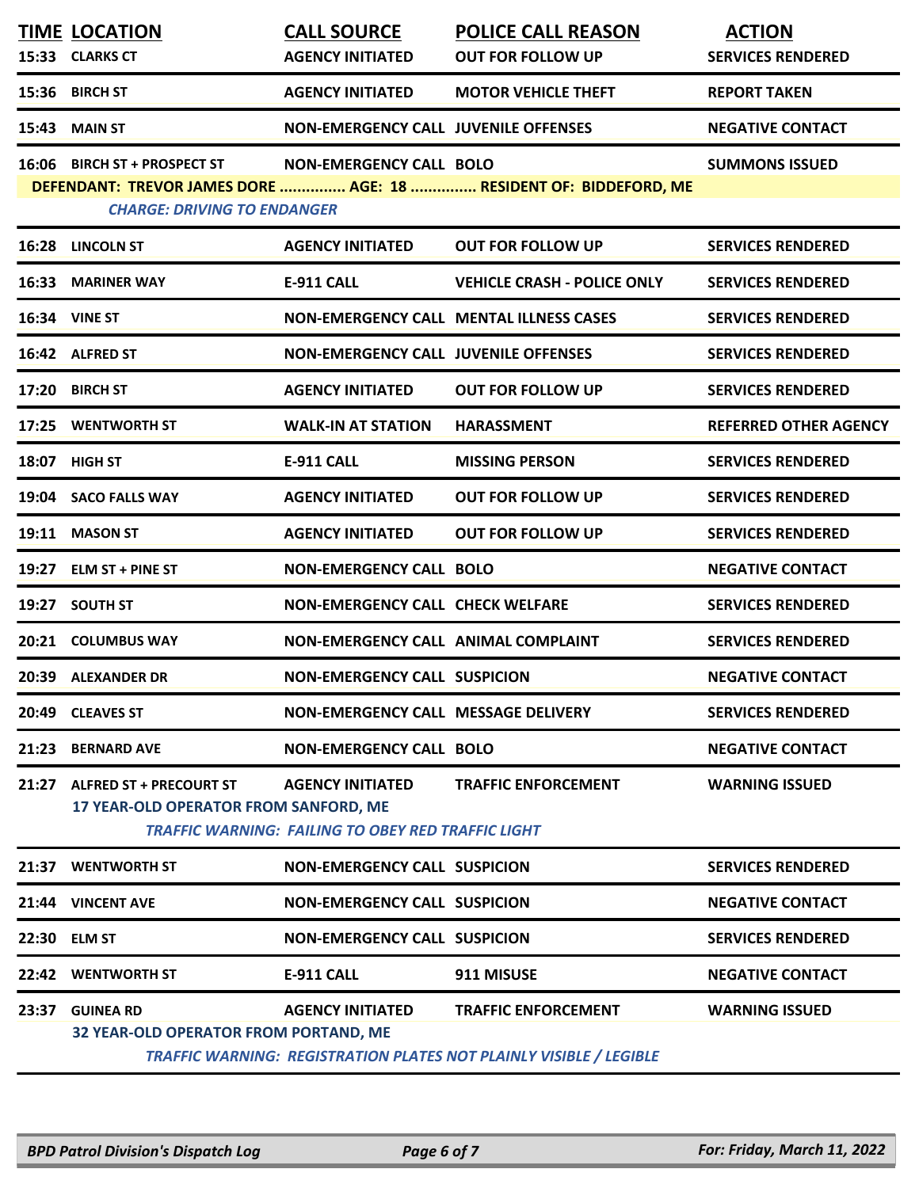|       | <b>TIME LOCATION</b><br>15:33 CLARKS CT                                 | <b>CALL SOURCE</b><br><b>AGENCY INITIATED</b>                                        | <b>POLICE CALL REASON</b><br><b>OUT FOR FOLLOW UP</b>                                            | <b>ACTION</b><br><b>SERVICES RENDERED</b> |
|-------|-------------------------------------------------------------------------|--------------------------------------------------------------------------------------|--------------------------------------------------------------------------------------------------|-------------------------------------------|
|       | 15:36 BIRCH ST                                                          | <b>AGENCY INITIATED</b>                                                              | <b>MOTOR VEHICLE THEFT</b>                                                                       | <b>REPORT TAKEN</b>                       |
| 15:43 | <b>MAIN ST</b>                                                          | <b>NON-EMERGENCY CALL JUVENILE OFFENSES</b>                                          |                                                                                                  | <b>NEGATIVE CONTACT</b>                   |
|       | 16:06 BIRCH ST + PROSPECT ST<br><b>CHARGE: DRIVING TO ENDANGER</b>      | NON-EMERGENCY CALL BOLO                                                              | DEFENDANT: TREVOR JAMES DORE  AGE: 18  RESIDENT OF: BIDDEFORD, ME                                | <b>SUMMONS ISSUED</b>                     |
|       | 16:28 LINCOLN ST                                                        | <b>AGENCY INITIATED</b>                                                              | <b>OUT FOR FOLLOW UP</b>                                                                         | <b>SERVICES RENDERED</b>                  |
|       | 16:33 MARINER WAY                                                       | <b>E-911 CALL</b>                                                                    | <b>VEHICLE CRASH - POLICE ONLY</b>                                                               | <b>SERVICES RENDERED</b>                  |
|       | <b>16:34 VINE ST</b>                                                    |                                                                                      | <b>NON-EMERGENCY CALL MENTAL ILLNESS CASES</b>                                                   | <b>SERVICES RENDERED</b>                  |
|       | 16:42 ALFRED ST                                                         | <b>NON-EMERGENCY CALL JUVENILE OFFENSES</b>                                          |                                                                                                  | <b>SERVICES RENDERED</b>                  |
|       | 17:20 BIRCH ST                                                          | <b>AGENCY INITIATED</b>                                                              | <b>OUT FOR FOLLOW UP</b>                                                                         | <b>SERVICES RENDERED</b>                  |
|       | 17:25 WENTWORTH ST                                                      | <b>WALK-IN AT STATION</b>                                                            | <b>HARASSMENT</b>                                                                                | <b>REFERRED OTHER AGENCY</b>              |
|       | 18:07 HIGH ST                                                           | <b>E-911 CALL</b>                                                                    | <b>MISSING PERSON</b>                                                                            | <b>SERVICES RENDERED</b>                  |
|       | 19:04 SACO FALLS WAY                                                    | <b>AGENCY INITIATED</b>                                                              | <b>OUT FOR FOLLOW UP</b>                                                                         | <b>SERVICES RENDERED</b>                  |
|       | 19:11 MASON ST                                                          | <b>AGENCY INITIATED</b>                                                              | <b>OUT FOR FOLLOW UP</b>                                                                         | <b>SERVICES RENDERED</b>                  |
|       | 19:27 ELM ST + PINE ST                                                  | <b>NON-EMERGENCY CALL BOLO</b>                                                       |                                                                                                  | <b>NEGATIVE CONTACT</b>                   |
| 19:27 | <b>SOUTH ST</b>                                                         | NON-EMERGENCY CALL CHECK WELFARE                                                     |                                                                                                  | <b>SERVICES RENDERED</b>                  |
|       | 20:21 COLUMBUS WAY                                                      | NON-EMERGENCY CALL ANIMAL COMPLAINT                                                  |                                                                                                  | <b>SERVICES RENDERED</b>                  |
|       | 20:39 ALEXANDER DR                                                      | <b>NON-EMERGENCY CALL SUSPICION</b>                                                  |                                                                                                  | <b>NEGATIVE CONTACT</b>                   |
| 20:49 | <b>CLEAVES ST</b>                                                       | NON-EMERGENCY CALL MESSAGE DELIVERY                                                  |                                                                                                  | <b>SERVICES RENDERED</b>                  |
| 21:23 | <b>BERNARD AVE</b>                                                      | <b>NON-EMERGENCY CALL BOLO</b>                                                       |                                                                                                  | <b>NEGATIVE CONTACT</b>                   |
| 21:27 | <b>ALFRED ST + PRECOURT ST</b><br>17 YEAR-OLD OPERATOR FROM SANFORD, ME | <b>AGENCY INITIATED</b><br><b>TRAFFIC WARNING: FAILING TO OBEY RED TRAFFIC LIGHT</b> | <b>TRAFFIC ENFORCEMENT</b>                                                                       | <b>WARNING ISSUED</b>                     |
| 21:37 | <b>WENTWORTH ST</b>                                                     | <b>NON-EMERGENCY CALL SUSPICION</b>                                                  |                                                                                                  | <b>SERVICES RENDERED</b>                  |
|       | 21:44 VINCENT AVE                                                       | <b>NON-EMERGENCY CALL SUSPICION</b>                                                  |                                                                                                  | <b>NEGATIVE CONTACT</b>                   |
|       | 22:30 ELM ST                                                            | <b>NON-EMERGENCY CALL SUSPICION</b>                                                  |                                                                                                  | <b>SERVICES RENDERED</b>                  |
|       | 22:42 WENTWORTH ST                                                      | <b>E-911 CALL</b>                                                                    | 911 MISUSE                                                                                       | <b>NEGATIVE CONTACT</b>                   |
| 23:37 | <b>GUINEA RD</b><br>32 YEAR-OLD OPERATOR FROM PORTAND, ME               | <b>AGENCY INITIATED</b>                                                              | <b>TRAFFIC ENFORCEMENT</b><br>TRAFFIC WARNING: REGISTRATION PLATES NOT PLAINLY VISIBLE / LEGIBLE | <b>WARNING ISSUED</b>                     |